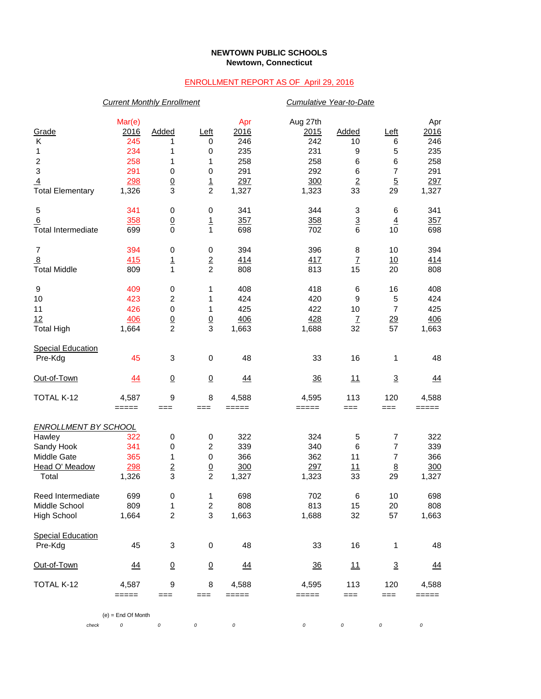## **NEWTOWN PUBLIC SCHOOLS Newtown, Connecticut**

## ENROLLMENT REPORT AS OF April 29, 2016

|                             | <b>Current Monthly Enrollment</b> |                         |                           |           |                | Cumulative Year-to-Date   |                          |            |  |  |
|-----------------------------|-----------------------------------|-------------------------|---------------------------|-----------|----------------|---------------------------|--------------------------|------------|--|--|
|                             | Mar(e)                            |                         |                           | Apr       | Aug 27th       |                           |                          | Apr        |  |  |
| Grade                       | 2016                              | Added                   | Left                      | 2016      | 2015           | Added                     | Left                     | 2016       |  |  |
| Κ                           | 245                               | 1                       | 0                         | 246       | 242            | 10                        | 6                        | 246        |  |  |
| 1                           | 234                               | 1                       | 0                         | 235       | 231            | 9                         | 5                        | 235        |  |  |
| $\overline{c}$              | 258                               | 1                       | 1                         | 258       | 258            | 6                         | 6                        | 258        |  |  |
| 3                           | 291                               | 0                       | $\pmb{0}$                 | 291       | 292            | 6                         | $\overline{7}$           | 291        |  |  |
| 4                           | 298                               |                         |                           | 297       | 300            | $\overline{2}$            | $\overline{5}$           | 297        |  |  |
| <b>Total Elementary</b>     | 1,326                             | $\frac{0}{3}$           | $\frac{1}{2}$             | 1,327     | 1,323          | 33                        | 29                       | 1,327      |  |  |
| 5                           | 341                               | 0                       | 0                         | 341       | 344            | 3                         | 6                        | 341        |  |  |
| <u>6</u>                    | 358                               | $\overline{0}$          | $\overline{1}$            | 357       | 358            | $\overline{3}$            | $\overline{4}$           | 357        |  |  |
| <b>Total Intermediate</b>   | 699                               | $\mathbf 0$             | $\mathbf{1}$              | 698       | 702            | 6                         | 10                       | 698        |  |  |
| 7                           | 394                               | 0                       | $\pmb{0}$                 | 394       | 396            | 8                         | 10                       | 394        |  |  |
| $\overline{8}$              | 415                               | $\overline{1}$          | $\frac{2}{2}$             | 414       | 417            | $\ensuremath{\mathsf{Z}}$ | 10                       | <u>414</u> |  |  |
| <b>Total Middle</b>         | 809                               | 1                       |                           | 808       | 813            | 15                        | 20                       | 808        |  |  |
| 9                           | 409                               | 0                       | 1                         | 408       | 418            | 6                         | 16                       | 408        |  |  |
| 10                          | 423                               | 2                       | 1                         | 424       | 420            | 9                         | 5                        | 424        |  |  |
| 11                          | 426                               | $\pmb{0}$               | 1                         | 425       | 422            | 10                        | 7                        | 425        |  |  |
| 12                          | 406                               |                         |                           | 406       | 428            | $\overline{1}$            |                          | 406        |  |  |
| <b>Total High</b>           | 1,664                             | $\frac{0}{2}$           | $\frac{0}{3}$             | 1,663     | 1,688          | 32                        | $\frac{29}{57}$          | 1,663      |  |  |
| <b>Special Education</b>    |                                   |                         |                           |           |                |                           |                          |            |  |  |
| Pre-Kdg                     | 45                                | 3                       | $\,0\,$                   | 48        | 33             | 16                        | 1                        | 48         |  |  |
| Out-of-Town                 | <u>44</u>                         | $\overline{0}$          | $\underline{0}$           | 44        | 36             | 11                        | $\underline{\mathbf{3}}$ | <u>44</u>  |  |  |
| TOTAL K-12                  | 4,587                             | 9                       | 8                         | 4,588     | 4,595          | 113                       | 120                      | 4,588      |  |  |
|                             | =====                             | $==$                    | ===                       | $=====$   | =====          | $==$                      | $==$                     | =====      |  |  |
| <b>ENROLLMENT BY SCHOOL</b> |                                   |                         |                           |           |                |                           |                          |            |  |  |
| Hawley                      | 322                               | $\pmb{0}$               | 0                         | 322       | 324            | 5                         | 7                        | 322        |  |  |
| Sandy Hook                  | 341                               | 0                       | $\boldsymbol{2}$          | 339       | 340            | 6                         | $\boldsymbol{7}$         | 339        |  |  |
| Middle Gate                 | 365                               | 1                       | $\pmb{0}$                 | 366       | 362            | 11                        | $\overline{7}$           | 366        |  |  |
| Head O' Meadow              | 298                               | $\overline{2}$          |                           | 300       | 297            | <u> 11</u>                | $\underline{8}$          | 300        |  |  |
| Total                       | 1,326                             | 3                       | $\frac{0}{2}$             | 1,327     | 1,323          | 33                        | 29                       | 1,327      |  |  |
| Reed Intermediate           | 699                               | 0                       | 1                         | 698       | 702            | 6                         | 10                       | 698        |  |  |
| Middle School               | 809                               | 1                       | $\boldsymbol{2}$          | 808       | 813            | 15                        | 20                       | 808        |  |  |
| High School                 | 1,664                             | $\overline{\mathbf{c}}$ | $\ensuremath{\mathsf{3}}$ | 1,663     | 1,688          | 32                        | 57                       | 1,663      |  |  |
| <b>Special Education</b>    |                                   |                         |                           |           |                |                           |                          |            |  |  |
| Pre-Kdg                     | 45                                | 3                       | $\,0\,$                   | 48        | 33             | 16                        | 1                        | 48         |  |  |
| <u>Out-of-Town</u>          | <u>44</u>                         | $\overline{0}$          | $\underline{0}$           | <u>44</u> | $\frac{36}{5}$ | <u>11</u>                 | $\overline{3}$           | <u>44</u>  |  |  |
| TOTAL K-12                  | 4,587                             | 9                       | 8                         | 4,588     | 4,595          | 113                       | 120                      | 4,588      |  |  |
|                             | =====                             | $==$                    | ===                       | =====     | =====          | $==$                      | $==$                     | =====      |  |  |
|                             | $(e)$ = End Of Month              |                         |                           |           |                |                           |                          |            |  |  |
| check                       | 0                                 | $\cal O$                | 0                         | 0         | 0              | 0                         | 0                        | 0          |  |  |